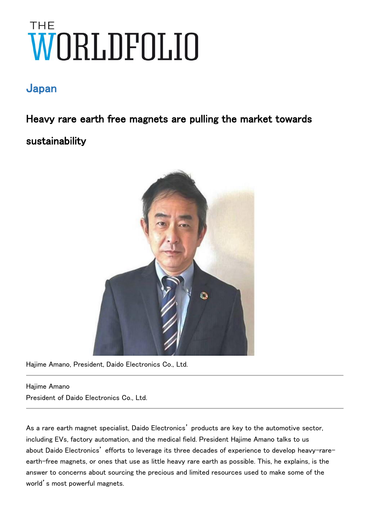# THE

# Japan

Heavy rare earth free magnets are pulling the market towards sustainability



Hajime Amano, President, Daido Electronics Co., Ltd.

Hajime Amano President of Daido Electronics Co., Ltd.

As a rare earth magnet specialist, Daido Electronics' products are key to the automotive sector, including EVs, factory automation, and the medical field. President Hajime Amano talks to us about Daido Electronics' efforts to leverage its three decades of experience to develop heavy-rareearth-free magnets, or ones that use as little heavy rare earth as possible. This, he explains, is the answer to concerns about sourcing the precious and limited resources used to make some of the world's most powerful magnets.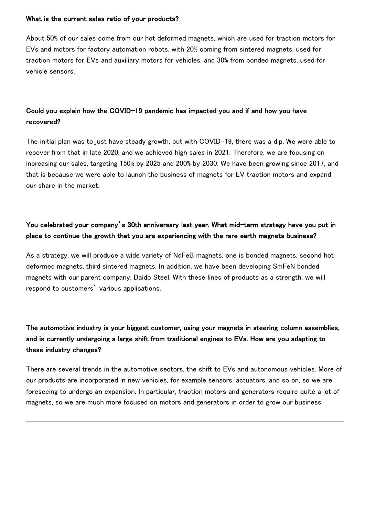### What is the current sales ratio of your products?

About 50% of our sales come from our hot deformed magnets, which are used for traction motors for EVs and motors for factory automation robots, with 20% coming from sintered magnets, used for traction motors for EVs and auxiliary motors for vehicles, and 30% from bonded magnets, used for vehicle sensors.

# Could you explain how the COVID-19 pandemic has impacted you and if and how you have recovered?

The initial plan was to just have steady growth, but with COVID-19, there was a dip. We were able to recover from that in late 2020, and we achieved high sales in 2021. Therefore, we are focusing on increasing our sales, targeting 150% by 2025 and 200% by 2030. We have been growing since 2017, and that is because we were able to launch the business of magnets for EV traction motors and expand our share in the market.

## You celebrated your company's 30th anniversary last year. What mid-term strategy have you put in place to continue the growth that you are experiencing with the rare earth magnets business?

As a strategy, we will produce a wide variety of NdFeB magnets, one is bonded magnets, second hot deformed magnets, third sintered magnets. In addition, we have been developing SmFeN bonded magnets with our parent company, Daido Steel. With these lines of products as a strength, we will respond to customers' various applications.

# The automotive industry is your biggest customer, using your magnets in steering column assemblies, and is currently undergoing a large shift from traditional engines to EVs. How are you adapting to these industry changes?

There are several trends in the automotive sectors, the shift to EVs and autonomous vehicles. More of our products are incorporated in new vehicles, for example sensors, actuators, and so on, so we are foreseeing to undergo an expansion. In particular, traction motors and generators require quite a lot of magnets, so we are much more focused on motors and generators in order to grow our business.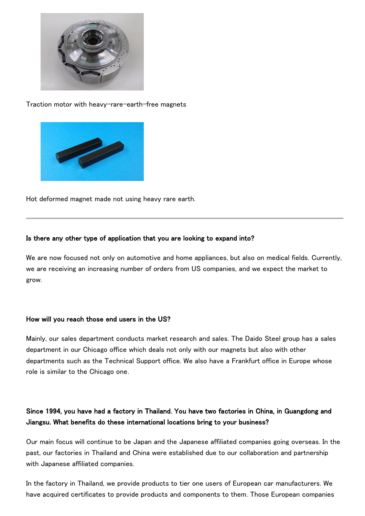

Traction motor with heavy-rare-earth-free magnets



Hot deformed magnet made not using heavy rare earth.

### Is there any other type of application that you are looking to expand into?

We are now focused not only on automotive and home appliances, but also on medical fields. Currently, we are receiving an increasing number of orders from US companies, and we expect the market to grow.

### How will you reach those end users in the US?

Mainly, our sales department conducts market research and sales. The Daido Steel group has a sales department in our Chicago office which deals not only with our magnets but also with other departments such as the Technical Support office. We also have a Frankfurt office in Europe whose role is similar to the Chicago one.

## Since 1994, you have had a factory in Thailand. You have two factories in China, in Guangdong and Jiangsu. What benefits do these international locations bring to your business?

Our main focus will continue to be Japan and the Japanese affiliated companies going overseas. In the past, our factories in Thailand and China were established due to our collaboration and partnership with Japanese affiliated companies.

In the factory in Thailand, we provide products to tier one users of European car manufacturers. We have acquired certificates to provide products and components to them. Those European companies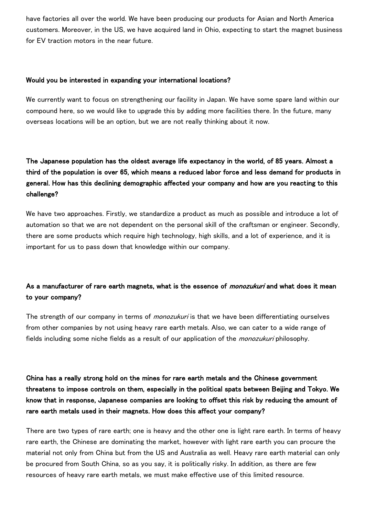have factories all over the world. We have been producing our products for Asian and North America customers. Moreover, in the US, we have acquired land in Ohio, expecting to start the magnet business for EV traction motors in the near future.

### Would you be interested in expanding your international locations?

We currently want to focus on strengthening our facility in Japan. We have some spare land within our compound here, so we would like to upgrade this by adding more facilities there. In the future, many overseas locations will be an option, but we are not really thinking about it now.

# The Japanese population has the oldest average life expectancy in the world, of 85 years. Almost a third of the population is over 65, which means a reduced labor force and less demand for products in general. How has this declining demographic affected your company and how are you reacting to this challenge?

We have two approaches. Firstly, we standardize a product as much as possible and introduce a lot of automation so that we are not dependent on the personal skill of the craftsman or engineer. Secondly, there are some products which require high technology, high skills, and a lot of experience, and it is important for us to pass down that knowledge within our company.

## As a manufacturer of rare earth magnets, what is the essence of *monozukuri* and what does it mean to your company?

The strength of our company in terms of *monozukuri* is that we have been differentiating ourselves from other companies by not using heavy rare earth metals. Also, we can cater to a wide range of fields including some niche fields as a result of our application of the *monozukuri* philosophy.

China has a really strong hold on the mines for rare earth metals and the Chinese government threatens to impose controls on them, especially in the political spats between Beijing and Tokyo. We know that in response, Japanese companies are looking to offset this risk by reducing the amount of rare earth metals used in their magnets. How does this affect your company?

There are two types of rare earth; one is heavy and the other one is light rare earth. In terms of heavy rare earth, the Chinese are dominating the market, however with light rare earth you can procure the material not only from China but from the US and Australia as well. Heavy rare earth material can only be procured from South China, so as you say, it is politically risky. In addition, as there are few resources of heavy rare earth metals, we must make effective use of this limited resource.